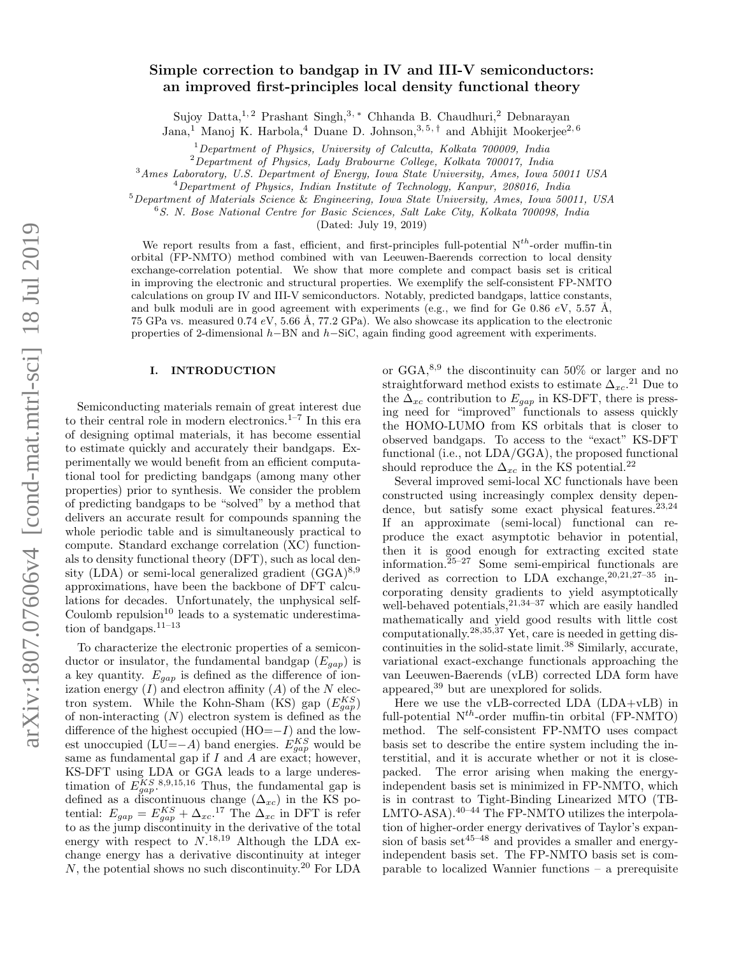# Simple correction to bandgap in IV and III-V semiconductors: an improved first-principles local density functional theory

Sujoy Datta,<sup>1,2</sup> Prashant Singh,<sup>3,\*</sup> Chhanda B. Chaudhuri,<sup>2</sup> Debnarayan

Jana,<sup>1</sup> Manoj K. Harbola,<sup>4</sup> Duane D. Johnson,<sup>3,5,†</sup> and Abhijit Mookerjee<sup>2,6</sup>

<sup>1</sup>*Department of Physics, University of Calcutta, Kolkata 700009, India*

<sup>2</sup>*Department of Physics, Lady Brabourne College, Kolkata 700017, India*

<sup>3</sup>*Ames Laboratory, U.S. Department of Energy, Iowa State University, Ames, Iowa 50011 USA*

<sup>4</sup>*Department of Physics, Indian Institute of Technology, Kanpur, 208016, India*

<sup>5</sup>*Department of Materials Science* & *Engineering, Iowa State University, Ames, Iowa 50011, USA*

<sup>6</sup>*S. N. Bose National Centre for Basic Sciences, Salt Lake City, Kolkata 700098, India*

(Dated: July 19, 2019)

We report results from a fast, efficient, and first-principles full-potential  $N^{th}$ -order muffin-tin orbital (FP-NMTO) method combined with van Leeuwen-Baerends correction to local density exchange-correlation potential. We show that more complete and compact basis set is critical in improving the electronic and structural properties. We exemplify the self-consistent FP-NMTO calculations on group IV and III-V semiconductors. Notably, predicted bandgaps, lattice constants, and bulk moduli are in good agreement with experiments (e.g., we find for Ge 0.86 eV, 5.57 Å, 75 GPa vs. measured 0.74 eV, 5.66 Å, 77.2 GPa). We also showcase its application to the electronic properties of 2-dimensional  $h$ –BN and  $h$ –SiC, again finding good agreement with experiments.

# I. INTRODUCTION

Semiconducting materials remain of great interest due to their central role in modern electronics.<sup>1–7</sup> In this era of designing optimal materials, it has become essential to estimate quickly and accurately their bandgaps. Experimentally we would benefit from an efficient computational tool for predicting bandgaps (among many other properties) prior to synthesis. We consider the problem of predicting bandgaps to be "solved" by a method that delivers an accurate result for compounds spanning the whole periodic table and is simultaneously practical to compute. Standard exchange correlation (XC) functionals to density functional theory (DFT), such as local density (LDA) or semi-local generalized gradient  $(GGA)^{8,9}$ approximations, have been the backbone of DFT calculations for decades. Unfortunately, the unphysical self-Coulomb repulsion $10$  leads to a systematic underestimation of bandgaps. $11-13$ 

To characterize the electronic properties of a semiconductor or insulator, the fundamental bandgap  $(E_{gap})$  is a key quantity.  $E_{gap}$  is defined as the difference of ionization energy  $(I)$  and electron affinity  $(A)$  of the N electron system. While the Kohn-Sham (KS) gap  $(E_{gap}^{KS})$ of non-interacting  $(N)$  electron system is defined as the difference of the highest occupied  $(HO=-I)$  and the lowest unoccupied (LU=−A) band energies.  $E_{gap}^{KS}$  would be same as fundamental gap if  $I$  and  $\overline{A}$  are exact; however, KS-DFT using LDA or GGA leads to a large underestimation of  $E_{gap}^{KS}$ . 8,9,15,16 Thus, the fundamental gap is defined as a discontinuous change  $(\Delta_{xc})$  in the KS potential:  $E_{gap} = E_{gap}^{KS} + \Delta_{xc}^{17}$  The  $\Delta_{xc}$  in DFT is refer to as the jump discontinuity in the derivative of the total energy with respect to  $N^{18,19}$  Although the LDA exchange energy has a derivative discontinuity at integer  $N$ , the potential shows no such discontinuity.<sup>20</sup> For LDA

or  $GGA$ ,<sup>8,9</sup> the discontinuity can 50% or larger and no straightforward method exists to estimate  $\Delta_{xc}$ <sup>21</sup> Due to the  $\overline{\Delta}_{xc}$  contribution to  $E_{gap}$  in KS-DFT, there is pressing need for "improved" functionals to assess quickly the HOMO-LUMO from KS orbitals that is closer to observed bandgaps. To access to the "exact" KS-DFT functional (i.e., not LDA/GGA), the proposed functional should reproduce the  $\Delta_{xc}$  in the KS potential.<sup>22</sup>

Several improved semi-local XC functionals have been constructed using increasingly complex density dependence, but satisfy some exact physical features. $23,24$ If an approximate (semi-local) functional can reproduce the exact asymptotic behavior in potential, then it is good enough for extracting excited state information.<sup>25–27</sup> Some semi-empirical functionals are derived as correction to LDA exchange,  $20,21,27-35$  incorporating density gradients to yield asymptotically well-behaved potentials,<sup>21,34–37</sup> which are easily handled mathematically and yield good results with little cost computationally.<sup>28,35,37</sup> Yet, care is needed in getting discontinuities in the solid-state limit.<sup>38</sup> Similarly, accurate, variational exact-exchange functionals approaching the van Leeuwen-Baerends (vLB) corrected LDA form have appeared,<sup>39</sup> but are unexplored for solids.

Here we use the vLB-corrected LDA (LDA+vLB) in full-potential  $N^{th}$ -order muffin-tin orbital (FP-NMTO) method. The self-consistent FP-NMTO uses compact basis set to describe the entire system including the interstitial, and it is accurate whether or not it is closepacked. The error arising when making the energyindependent basis set is minimized in FP-NMTO, which is in contrast to Tight-Binding Linearized MTO (TB-LMTO-ASA). $40-44$  The FP-NMTO utilizes the interpolation of higher-order energy derivatives of Taylor's expansion of basis set $45-48$  and provides a smaller and energyindependent basis set. The FP-NMTO basis set is comparable to localized Wannier functions – a prerequisite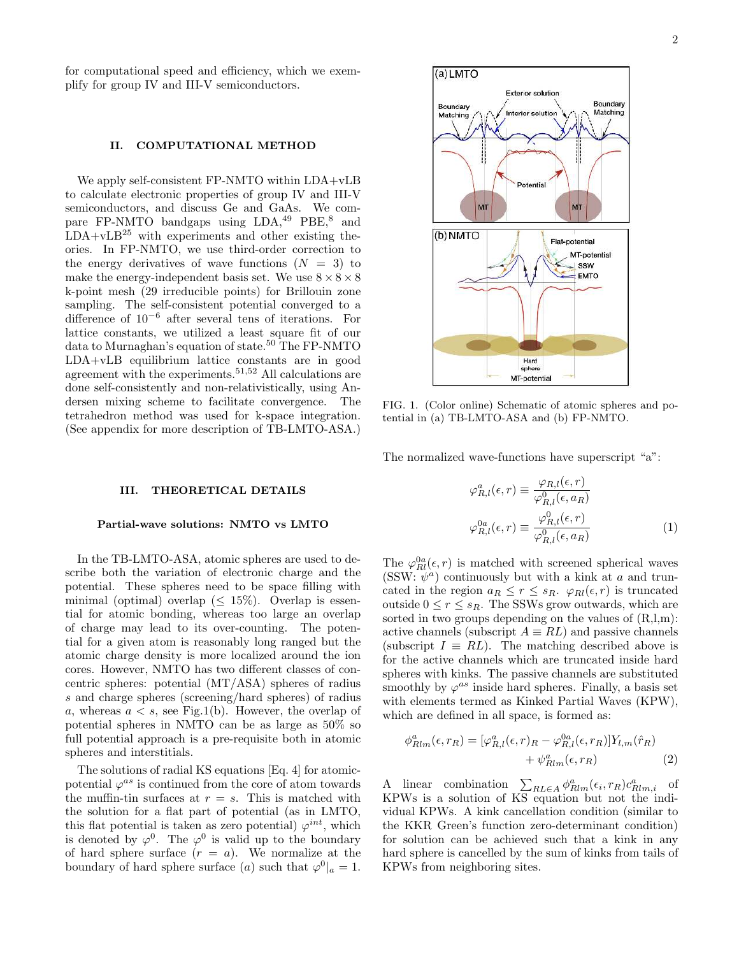for computational speed and efficiency, which we exemplify for group IV and III-V semiconductors.

#### II. COMPUTATIONAL METHOD

We apply self-consistent FP-NMTO within LDA+vLB to calculate electronic properties of group IV and III-V semiconductors, and discuss Ge and GaAs. We compare FP-NMTO bandgaps using LDA,<sup>49</sup> PBE,<sup>8</sup> and  $LDA+<sub>vLB</sub><sup>25</sup>$  with experiments and other existing theories. In FP-NMTO, we use third-order correction to the energy derivatives of wave functions  $(N = 3)$  to make the energy-independent basis set. We use  $8 \times 8 \times 8$ k-point mesh (29 irreducible points) for Brillouin zone sampling. The self-consistent potential converged to a difference of 10−<sup>6</sup> after several tens of iterations. For lattice constants, we utilized a least square fit of our data to Murnaghan's equation of state.<sup>50</sup> The FP-NMTO LDA+vLB equilibrium lattice constants are in good agreement with the experiments.51,52 All calculations are done self-consistently and non-relativistically, using Andersen mixing scheme to facilitate convergence. The tetrahedron method was used for k-space integration. (See appendix for more description of TB-LMTO-ASA.)

### III. THEORETICAL DETAILS

## Partial-wave solutions: NMTO vs LMTO

In the TB-LMTO-ASA, atomic spheres are used to describe both the variation of electronic charge and the potential. These spheres need to be space filling with minimal (optimal) overlap ( $\leq 15\%$ ). Overlap is essential for atomic bonding, whereas too large an overlap of charge may lead to its over-counting. The potential for a given atom is reasonably long ranged but the atomic charge density is more localized around the ion cores. However, NMTO has two different classes of concentric spheres: potential (MT/ASA) spheres of radius s and charge spheres (screening/hard spheres) of radius a, whereas  $a < s$ , see Fig.1(b). However, the overlap of potential spheres in NMTO can be as large as 50% so full potential approach is a pre-requisite both in atomic spheres and interstitials.

The solutions of radial KS equations [Eq. 4] for atomicpotential  $\varphi^{as}$  is continued from the core of atom towards the muffin-tin surfaces at  $r = s$ . This is matched with the solution for a flat part of potential (as in LMTO, this flat potential is taken as zero potential)  $\varphi^{int}$ , which is denoted by  $\varphi^0$ . The  $\varphi^0$  is valid up to the boundary of hard sphere surface  $(r = a)$ . We normalize at the boundary of hard sphere surface (a) such that  $\varphi^0|_a = 1$ .



FIG. 1. (Color online) Schematic of atomic spheres and potential in (a) TB-LMTO-ASA and (b) FP-NMTO.

The normalized wave-functions have superscript "a":

$$
\varphi_{R,l}^{a}(\epsilon,r) \equiv \frac{\varphi_{R,l}(\epsilon,r)}{\varphi_{R,l}^{0}(\epsilon,a_{R})}
$$

$$
\varphi_{R,l}^{0a}(\epsilon,r) \equiv \frac{\varphi_{R,l}^{0}(\epsilon,r)}{\varphi_{R,l}^{0}(\epsilon,a_{R})}
$$
(1)

The  $\varphi_{Rl}^{0a}(\epsilon, r)$  is matched with screened spherical waves  $(SSW: \psi^a)$  continuously but with a kink at a and truncated in the region  $a_R \leq r \leq s_R$ .  $\varphi_{Rl}(\epsilon, r)$  is truncated outside  $0 \leq r \leq s_R$ . The SSWs grow outwards, which are sorted in two groups depending on the values of  $(R, l, m)$ : active channels (subscript  $A \equiv RL$ ) and passive channels (subscript  $I \equiv RL$ ). The matching described above is for the active channels which are truncated inside hard spheres with kinks. The passive channels are substituted smoothly by  $\varphi^{as}$  inside hard spheres. Finally, a basis set with elements termed as Kinked Partial Waves (KPW), which are defined in all space, is formed as:

$$
\phi_{Rlm}^a(\epsilon, r_R) = [\varphi_{R,l}^a(\epsilon, r)_R - \varphi_{R,l}^0(\epsilon, r_R)] Y_{l,m}(\hat{r}_R) + \psi_{Rlm}^a(\epsilon, r_R)
$$
(2)

A linear combination  $\sum_{RL\in A} \phi_{Rlm}^a(\epsilon_i, r_R) c_{Rlm,i}^a$  of KPWs is a solution of KS equation but not the individual KPWs. A kink cancellation condition (similar to the KKR Green's function zero-determinant condition) for solution can be achieved such that a kink in any hard sphere is cancelled by the sum of kinks from tails of KPWs from neighboring sites.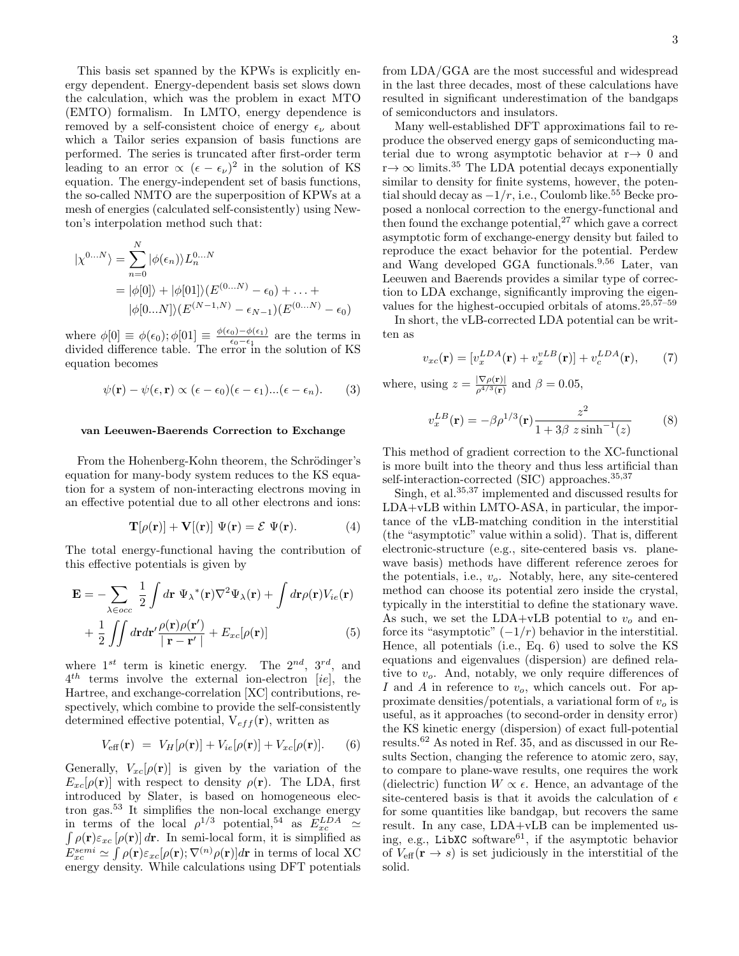This basis set spanned by the KPWs is explicitly energy dependent. Energy-dependent basis set slows down the calculation, which was the problem in exact MTO (EMTO) formalism. In LMTO, energy dependence is removed by a self-consistent choice of energy  $\epsilon_{\nu}$  about which a Tailor series expansion of basis functions are performed. The series is truncated after first-order term leading to an error  $\propto (\epsilon - \epsilon_{\nu})^2$  in the solution of KS equation. The energy-independent set of basis functions, the so-called NMTO are the superposition of KPWs at a mesh of energies (calculated self-consistently) using Newton's interpolation method such that:

$$
|\chi^{0...N}\rangle = \sum_{n=0}^{N} |\phi(\epsilon_n)\rangle L_n^{0...N}
$$
  
=  $|\phi[0]\rangle + |\phi[01]\rangle (E^{(0...N)} - \epsilon_0) + ... +$   
 $|\phi[0...N]\rangle (E^{(N-1,N)} - \epsilon_{N-1})(E^{(0...N)} - \epsilon_0)$ 

where  $\phi[0] \equiv \phi(\epsilon_0); \phi[01] \equiv \frac{\phi(\epsilon_0) - \phi(\epsilon_1)}{\epsilon_0 - \epsilon_1}$  $\frac{0.0-\varphi(\epsilon_1)}{\epsilon_0-\epsilon_1}$  are the terms in divided difference table. The error in the solution of KS equation becomes

$$
\psi(\mathbf{r}) - \psi(\epsilon, \mathbf{r}) \propto (\epsilon - \epsilon_0)(\epsilon - \epsilon_1)...(\epsilon - \epsilon_n). \tag{3}
$$

# van Leeuwen-Baerends Correction to Exchange

From the Hohenberg-Kohn theorem, the Schrödinger's equation for many-body system reduces to the KS equation for a system of non-interacting electrons moving in an effective potential due to all other electrons and ions:

$$
\mathbf{T}[\rho(\mathbf{r})] + \mathbf{V}[(\mathbf{r})] \Psi(\mathbf{r}) = \mathcal{E} \Psi(\mathbf{r}). \tag{4}
$$

The total energy-functional having the contribution of this effective potentials is given by

$$
\mathbf{E} = -\sum_{\lambda \in occ} \frac{1}{2} \int d\mathbf{r} \ \Psi_{\lambda}{}^{*}(\mathbf{r}) \nabla^{2} \Psi_{\lambda}(\mathbf{r}) + \int d\mathbf{r} \rho(\mathbf{r}) V_{ie}(\mathbf{r})
$$

$$
+ \frac{1}{2} \iint d\mathbf{r} d\mathbf{r}' \frac{\rho(\mathbf{r}) \rho(\mathbf{r}')}{|\mathbf{r} - \mathbf{r}'|} + E_{xc}[\rho(\mathbf{r})]
$$
(5)

where  $1^{st}$  term is kinetic energy. The  $2^{nd}$ ,  $3^{rd}$ , and  $4^{th}$  terms involve the external ion-electron [ie], the Hartree, and exchange-correlation [XC] contributions, respectively, which combine to provide the self-consistently determined effective potential,  $V_{eff}({\bf r})$ , written as

$$
V_{\text{eff}}(\mathbf{r}) = V_H[\rho(\mathbf{r})] + V_{ie}[\rho(\mathbf{r})] + V_{xc}[\rho(\mathbf{r})]. \quad (6)
$$

Generally,  $V_{xc}[\rho(\mathbf{r})]$  is given by the variation of the  $E_{xc}[\rho(\mathbf{r})]$  with respect to density  $\rho(\mathbf{r})$ . The LDA, first introduced by Slater, is based on homogeneous electron gas.<sup>53</sup> It simplifies the non-local exchange energy in terms of the local  $\rho^{1/3}$  potential,<sup>54</sup> as  $E_{xc}^{LDA}$ in terms of the local  $\rho^{1/3}$  potential,<sup>54</sup> as  $E_{xc}^{LDA} \simeq$ <br> $\int \rho(\mathbf{r}) \varepsilon_{xc} [\rho(\mathbf{r})] d\mathbf{r}$ . In semi-local form, it is simplified as  $E_{xc}^{semi} \simeq \int \rho(\mathbf{r}) \varepsilon_{xc} [\rho(\mathbf{r}); \nabla^{(n)} \rho(\mathbf{r})] d\mathbf{r}$  in terms of local XC energy density. While calculations using DFT potentials from LDA/GGA are the most successful and widespread in the last three decades, most of these calculations have resulted in significant underestimation of the bandgaps of semiconductors and insulators.

Many well-established DFT approximations fail to reproduce the observed energy gaps of semiconducting material due to wrong asymptotic behavior at  $r \rightarrow 0$  and  $r \rightarrow \infty$  limits.<sup>35</sup> The LDA potential decays exponentially similar to density for finite systems, however, the potential should decay as  $-1/r$ , i.e., Coulomb like.<sup>55</sup> Becke proposed a nonlocal correction to the energy-functional and then found the exchange potential, $27$  which gave a correct asymptotic form of exchange-energy density but failed to reproduce the exact behavior for the potential. Perdew and Wang developed GGA functionals.9,56 Later, van Leeuwen and Baerends provides a similar type of correction to LDA exchange, significantly improving the eigenvalues for the highest-occupied orbitals of atoms. $25,57-59$ 

In short, the vLB-corrected LDA potential can be written as

$$
v_{xc}(\mathbf{r}) = [v_x^{LDA}(\mathbf{r}) + v_x^{vLB}(\mathbf{r})] + v_c^{LDA}(\mathbf{r}), \qquad (7)
$$

where, using  $z = \frac{|\nabla \rho(\mathbf{r})|}{e^{4/3}(\mathbf{r})}$  $\frac{\Gamma V \rho(\mathbf{r})}{\rho^{4/3}(\mathbf{r})}$  and  $\beta = 0.05$ ,

$$
v_x^{LB}(\mathbf{r}) = -\beta \rho^{1/3}(\mathbf{r}) \frac{z^2}{1 + 3\beta \ z \sinh^{-1}(z)} \tag{8}
$$

This method of gradient correction to the XC-functional is more built into the theory and thus less artificial than self-interaction-corrected (SIC) approaches.<sup>35,37</sup>

Singh, et al.35,37 implemented and discussed results for LDA+vLB within LMTO-ASA, in particular, the importance of the vLB-matching condition in the interstitial (the "asymptotic" value within a solid). That is, different electronic-structure (e.g., site-centered basis vs. planewave basis) methods have different reference zeroes for the potentials, i.e.,  $v<sub>o</sub>$ . Notably, here, any site-centered method can choose its potential zero inside the crystal, typically in the interstitial to define the stationary wave. As such, we set the LDA+vLB potential to  $v<sub>o</sub>$  and enforce its "asymptotic"  $(-1/r)$  behavior in the interstitial. Hence, all potentials (i.e., Eq. 6) used to solve the KS equations and eigenvalues (dispersion) are defined relative to  $v<sub>o</sub>$ . And, notably, we only require differences of I and A in reference to  $v<sub>o</sub>$ , which cancels out. For approximate densities/potentials, a variational form of  $v<sub>o</sub>$  is useful, as it approaches (to second-order in density error) the KS kinetic energy (dispersion) of exact full-potential results.<sup>62</sup> As noted in Ref. 35, and as discussed in our Results Section, changing the reference to atomic zero, say, to compare to plane-wave results, one requires the work (dielectric) function  $W \propto \epsilon$ . Hence, an advantage of the site-centered basis is that it avoids the calculation of  $\epsilon$ for some quantities like bandgap, but recovers the same result. In any case, LDA+vLB can be implemented using, e.g., LibXC software $61$ , if the asymptotic behavior of  $V_{\text{eff}}(\mathbf{r} \to s)$  is set judiciously in the interstitial of the solid.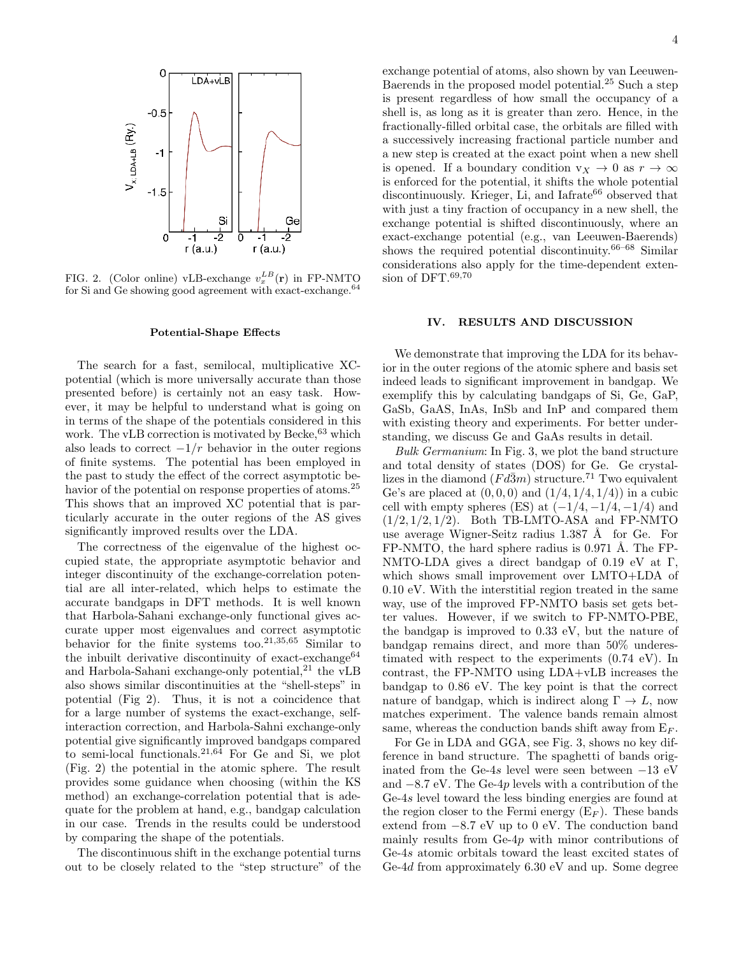

FIG. 2. (Color online) vLB-exchange  $v_x^{LB}(\mathbf{r})$  in FP-NMTO for Si and Ge showing good agreement with exact-exchange. $64$ 

#### Potential-Shape Effects

The search for a fast, semilocal, multiplicative XCpotential (which is more universally accurate than those presented before) is certainly not an easy task. However, it may be helpful to understand what is going on in terms of the shape of the potentials considered in this work. The vLB correction is motivated by Becke,  $63$  which also leads to correct  $-1/r$  behavior in the outer regions of finite systems. The potential has been employed in the past to study the effect of the correct asymptotic behavior of the potential on response properties of atoms.<sup>25</sup> This shows that an improved XC potential that is particularly accurate in the outer regions of the AS gives significantly improved results over the LDA.

The correctness of the eigenvalue of the highest occupied state, the appropriate asymptotic behavior and integer discontinuity of the exchange-correlation potential are all inter-related, which helps to estimate the accurate bandgaps in DFT methods. It is well known that Harbola-Sahani exchange-only functional gives accurate upper most eigenvalues and correct asymptotic behavior for the finite systems too.21,35,65 Similar to the inbuilt derivative discontinuity of exact-exchange $64$ and Harbola-Sahani exchange-only potential,<sup>21</sup> the  $vLB$ also shows similar discontinuities at the "shell-steps" in potential (Fig 2). Thus, it is not a coincidence that for a large number of systems the exact-exchange, selfinteraction correction, and Harbola-Sahni exchange-only potential give significantly improved bandgaps compared to semi-local functionals.21,64 For Ge and Si, we plot (Fig. 2) the potential in the atomic sphere. The result provides some guidance when choosing (within the KS method) an exchange-correlation potential that is adequate for the problem at hand, e.g., bandgap calculation in our case. Trends in the results could be understood by comparing the shape of the potentials.

The discontinuous shift in the exchange potential turns out to be closely related to the "step structure" of the

exchange potential of atoms, also shown by van Leeuwen-Baerends in the proposed model potential.<sup>25</sup> Such a step is present regardless of how small the occupancy of a shell is, as long as it is greater than zero. Hence, in the fractionally-filled orbital case, the orbitals are filled with a successively increasing fractional particle number and a new step is created at the exact point when a new shell is opened. If a boundary condition  $v_X \to 0$  as  $r \to \infty$ is enforced for the potential, it shifts the whole potential discontinuously. Krieger, Li, and Iafrate<sup>66</sup> observed that with just a tiny fraction of occupancy in a new shell, the exchange potential is shifted discontinuously, where an exact-exchange potential (e.g., van Leeuwen-Baerends) shows the required potential discontinuity.<sup>66–68</sup> Similar considerations also apply for the time-dependent extension of DFT.<sup>69,70</sup>

# IV. RESULTS AND DISCUSSION

We demonstrate that improving the LDA for its behavior in the outer regions of the atomic sphere and basis set indeed leads to significant improvement in bandgap. We exemplify this by calculating bandgaps of Si, Ge, GaP, GaSb, GaAS, InAs, InSb and InP and compared them with existing theory and experiments. For better understanding, we discuss Ge and GaAs results in detail.

Bulk Germanium: In Fig. 3, we plot the band structure and total density of states (DOS) for Ge. Ge crystallizes in the diamond  $(Fd\bar{3}m)$  structure.<sup>71</sup> Two equivalent Ge's are placed at  $(0, 0, 0)$  and  $(1/4, 1/4, 1/4)$  in a cubic cell with empty spheres (ES) at  $(-1/4, -1/4, -1/4)$  and  $(1/2, 1/2, 1/2)$ . Both TB-LMTO-ASA and FP-NMTO use average Wigner-Seitz radius  $1.387 \text{ Å}$  for Ge. For  $FP\text{-}NMTO$ , the hard sphere radius is 0.971 Å. The FP-NMTO-LDA gives a direct bandgap of 0.19 eV at Γ, which shows small improvement over LMTO+LDA of 0.10 eV. With the interstitial region treated in the same way, use of the improved FP-NMTO basis set gets better values. However, if we switch to FP-NMTO-PBE, the bandgap is improved to 0.33 eV, but the nature of bandgap remains direct, and more than 50% underestimated with respect to the experiments (0.74 eV). In contrast, the FP-NMTO using LDA+vLB increases the bandgap to 0.86 eV. The key point is that the correct nature of bandgap, which is indirect along  $\Gamma \to L$ , now matches experiment. The valence bands remain almost same, whereas the conduction bands shift away from  $E_F$ .

For Ge in LDA and GGA, see Fig. 3, shows no key difference in band structure. The spaghetti of bands originated from the Ge-4s level were seen between  $-13$  eV and −8.7 eV. The Ge-4p levels with a contribution of the Ge-4s level toward the less binding energies are found at the region closer to the Fermi energy  $(E_F)$ . These bands extend from −8.7 eV up to 0 eV. The conduction band mainly results from Ge-4p with minor contributions of Ge-4s atomic orbitals toward the least excited states of Ge-4d from approximately 6.30 eV and up. Some degree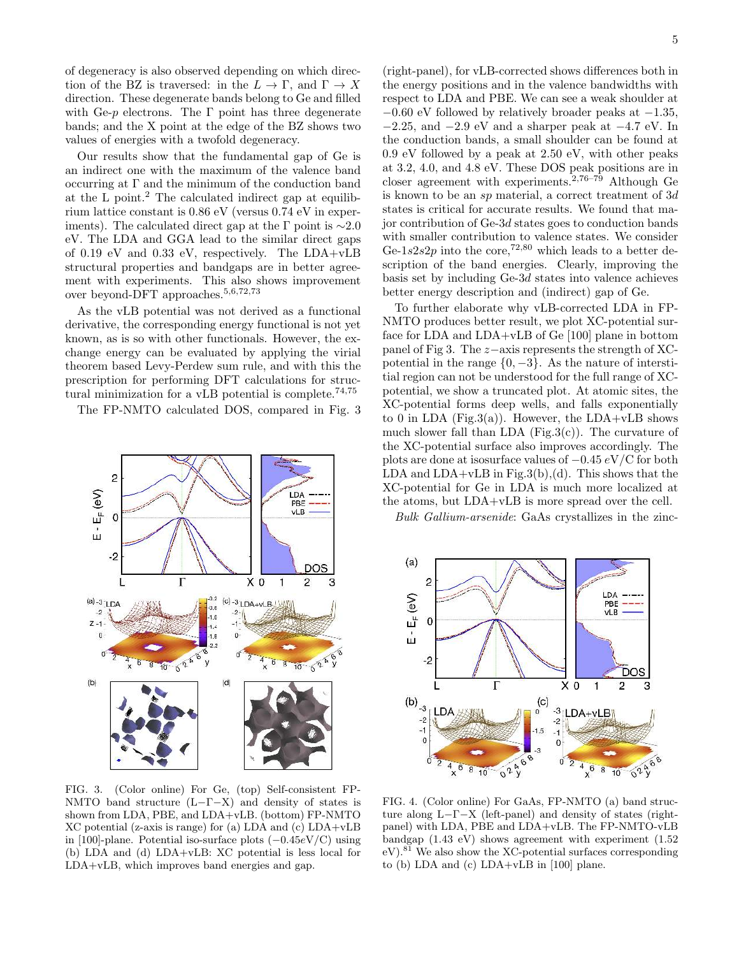of degeneracy is also observed depending on which direction of the BZ is traversed: in the  $L \to \Gamma$ , and  $\Gamma \to X$ direction. These degenerate bands belong to Ge and filled with Ge- $p$  electrons. The  $\Gamma$  point has three degenerate bands; and the X point at the edge of the BZ shows two values of energies with a twofold degeneracy.

Our results show that the fundamental gap of Ge is an indirect one with the maximum of the valence band occurring at  $\Gamma$  and the minimum of the conduction band at the L point.<sup>2</sup> The calculated indirect gap at equilibrium lattice constant is 0.86 eV (versus 0.74 eV in experiments). The calculated direct gap at the Γ point is  $\sim$ 2.0 eV. The LDA and GGA lead to the similar direct gaps of 0.19 eV and 0.33 eV, respectively. The LDA+vLB structural properties and bandgaps are in better agreement with experiments. This also shows improvement over beyond-DFT approaches.5,6,72,73

As the vLB potential was not derived as a functional derivative, the corresponding energy functional is not yet known, as is so with other functionals. However, the exchange energy can be evaluated by applying the virial theorem based Levy-Perdew sum rule, and with this the prescription for performing DFT calculations for structural minimization for a vLB potential is complete.<sup>74,75</sup>

The FP-NMTO calculated DOS, compared in Fig. 3



FIG. 3. (Color online) For Ge, (top) Self-consistent FP-NMTO band structure  $(L-\Gamma-X)$  and density of states is shown from LDA, PBE, and LDA+vLB. (bottom) FP-NMTO XC potential (z-axis is range) for (a) LDA and (c) LDA+vLB in [100]-plane. Potential iso-surface plots (−0.45eV/C) using (b) LDA and (d) LDA+vLB: XC potential is less local for LDA+vLB, which improves band energies and gap.

(right-panel), for vLB-corrected shows differences both in the energy positions and in the valence bandwidths with respect to LDA and PBE. We can see a weak shoulder at  $-0.60$  eV followed by relatively broader peaks at  $-1.35$ , −2.25, and −2.9 eV and a sharper peak at −4.7 eV. In the conduction bands, a small shoulder can be found at 0.9 eV followed by a peak at 2.50 eV, with other peaks at 3.2, 4.0, and 4.8 eV. These DOS peak positions are in closer agreement with experiments.<sup>2,76–79</sup> Although Ge is known to be an sp material, a correct treatment of 3d states is critical for accurate results. We found that major contribution of Ge-3d states goes to conduction bands with smaller contribution to valence states. We consider Ge-1s2s2p into the core,<sup>72,80</sup> which leads to a better description of the band energies. Clearly, improving the basis set by including Ge-3d states into valence achieves better energy description and (indirect) gap of Ge.

To further elaborate why vLB-corrected LDA in FP-NMTO produces better result, we plot XC-potential surface for LDA and LDA+vLB of Ge [100] plane in bottom panel of Fig 3. The z−axis represents the strength of XCpotential in the range  $\{0, -3\}$ . As the nature of interstitial region can not be understood for the full range of XCpotential, we show a truncated plot. At atomic sites, the XC-potential forms deep wells, and falls exponentially to 0 in LDA (Fig.3(a)). However, the  $LDA+<sub>vLB</sub>$  shows much slower fall than LDA  $(Fig.3(c))$ . The curvature of the XC-potential surface also improves accordingly. The plots are done at isosurface values of  $-0.45 \, \text{eV/C}$  for both LDA and  $LDA+<sub>v</sub>LB$  in Fig.3(b),(d). This shows that the XC-potential for Ge in LDA is much more localized at the atoms, but LDA+vLB is more spread over the cell.

Bulk Gallium-arsenide: GaAs crystallizes in the zinc-



FIG. 4. (Color online) For GaAs, FP-NMTO (a) band structure along L−Γ−X (left-panel) and density of states (rightpanel) with LDA, PBE and LDA+vLB. The FP-NMTO-vLB bandgap (1.43 eV) shows agreement with experiment (1.52  $eV$ ).<sup>81</sup> We also show the XC-potential surfaces corresponding to (b) LDA and (c) LDA+vLB in [100] plane.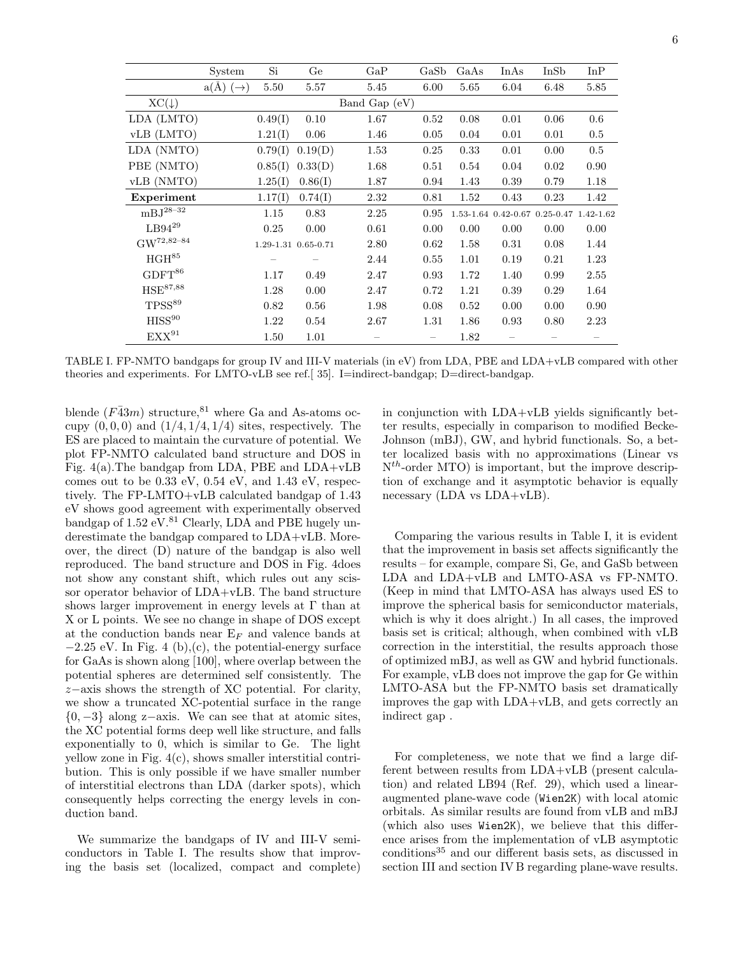| ٠<br>× |
|--------|

|                                  | System                   | Si      | Ge                  | GaP             | GaSb                     | GaAs | InAs                                    | InSb | InP     |
|----------------------------------|--------------------------|---------|---------------------|-----------------|--------------------------|------|-----------------------------------------|------|---------|
|                                  | $a(\AA)$ $(\rightarrow)$ | 5.50    | 5.57                | 5.45            | 6.00                     | 5.65 | 6.04                                    | 6.48 | 5.85    |
| $XC(\downarrow)$                 |                          |         |                     | Band Gap $(eV)$ |                          |      |                                         |      |         |
| LDA (LMTO)                       |                          | 0.49(1) | 0.10                | 1.67            | 0.52                     | 0.08 | 0.01                                    | 0.06 | $0.6\,$ |
| vLB (LMTO)                       |                          | 1.21(I) | 0.06                | 1.46            | 0.05                     | 0.04 | 0.01                                    | 0.01 | $0.5\,$ |
| LDA (NMTO)                       |                          | 0.79(1) | 0.19(D)             | 1.53            | 0.25                     | 0.33 | 0.01                                    | 0.00 | 0.5     |
| PBE (NMTO)                       |                          | 0.85(1) | 0.33(D)             | 1.68            | 0.51                     | 0.54 | 0.04                                    | 0.02 | 0.90    |
| vLB (NMTO)                       |                          | 1.25(I) | 0.86(1)             | 1.87            | 0.94                     | 1.43 | 0.39                                    | 0.79 | 1.18    |
| Experiment                       |                          | 1.17(I) | 0.74(I)             | 2.32            | 0.81                     | 1.52 | 0.43                                    | 0.23 | 1.42    |
| $mBJ^{28-32}$                    |                          | 1.15    | 0.83                | 2.25            | 0.95                     |      | 1.53-1.64 0.42-0.67 0.25-0.47 1.42-1.62 |      |         |
| $\mathrm{L}\mathrm{B}94^{29}$    |                          | 0.25    | 0.00                | 0.61            | 0.00                     | 0.00 | 0.00                                    | 0.00 | 0.00    |
| $\mathrm{GW}^{72,82\text{--}84}$ |                          |         | 1.29-1.31 0.65-0.71 | 2.80            | 0.62                     | 1.58 | 0.31                                    | 0.08 | 1.44    |
| $\rm HGH^{85}$                   |                          |         |                     | 2.44            | 0.55                     | 1.01 | 0.19                                    | 0.21 | 1.23    |
| $\mathrm{GDFT}^{86}$             |                          | 1.17    | 0.49                | 2.47            | 0.93                     | 1.72 | 1.40                                    | 0.99 | 2.55    |
| $\mathrm{HSE}^{87,88}$           |                          | 1.28    | 0.00                | 2.47            | 0.72                     | 1.21 | 0.39                                    | 0.29 | 1.64    |
| $TPSS^{89}$                      |                          | 0.82    | 0.56                | 1.98            | 0.08                     | 0.52 | 0.00                                    | 0.00 | 0.90    |
| $\rm HISS^{90}$                  |                          | 1.22    | 0.54                | 2.67            | 1.31                     | 1.86 | 0.93                                    | 0.80 | 2.23    |
| $\mathbf{EXX}^{91}$              |                          | 1.50    | 1.01                |                 | $\overline{\phantom{m}}$ | 1.82 |                                         |      |         |

TABLE I. FP-NMTO bandgaps for group IV and III-V materials (in eV) from LDA, PBE and LDA+vLB compared with other theories and experiments. For LMTO-vLB see ref.[ 35]. I=indirect-bandgap; D=direct-bandgap.

blende  $(F\bar{4}3m)$  structure,<sup>81</sup> where Ga and As-atoms occupy  $(0, 0, 0)$  and  $(1/4, 1/4, 1/4)$  sites, respectively. The ES are placed to maintain the curvature of potential. We plot FP-NMTO calculated band structure and DOS in Fig. 4(a).The bandgap from LDA, PBE and LDA+vLB comes out to be 0.33 eV, 0.54 eV, and 1.43 eV, respectively. The FP-LMTO+vLB calculated bandgap of 1.43 eV shows good agreement with experimentally observed bandgap of  $1.52 \text{ eV}$ .<sup>81</sup> Clearly, LDA and PBE hugely underestimate the bandgap compared to LDA+vLB. Moreover, the direct (D) nature of the bandgap is also well reproduced. The band structure and DOS in Fig. 4does not show any constant shift, which rules out any scissor operator behavior of LDA+vLB. The band structure shows larger improvement in energy levels at  $\Gamma$  than at X or L points. We see no change in shape of DOS except at the conduction bands near  $E_F$  and valence bands at  $-2.25$  eV. In Fig. 4 (b),(c), the potential-energy surface for GaAs is shown along [100], where overlap between the potential spheres are determined self consistently. The z−axis shows the strength of XC potential. For clarity, we show a truncated XC-potential surface in the range  ${0,-3}$  along z−axis. We can see that at atomic sites, the XC potential forms deep well like structure, and falls exponentially to 0, which is similar to Ge. The light yellow zone in Fig. 4(c), shows smaller interstitial contribution. This is only possible if we have smaller number of interstitial electrons than LDA (darker spots), which consequently helps correcting the energy levels in conduction band.

We summarize the bandgaps of IV and III-V semiconductors in Table I. The results show that improving the basis set (localized, compact and complete) in conjunction with LDA+vLB yields significantly better results, especially in comparison to modified Becke-Johnson (mBJ), GW, and hybrid functionals. So, a better localized basis with no approximations (Linear vs  $N^{th}$ -order MTO) is important, but the improve description of exchange and it asymptotic behavior is equally necessary (LDA vs LDA+vLB).

Comparing the various results in Table I, it is evident that the improvement in basis set affects significantly the results – for example, compare Si, Ge, and GaSb between LDA and LDA+vLB and LMTO-ASA vs FP-NMTO. (Keep in mind that LMTO-ASA has always used ES to improve the spherical basis for semiconductor materials, which is why it does alright.) In all cases, the improved basis set is critical; although, when combined with vLB correction in the interstitial, the results approach those of optimized mBJ, as well as GW and hybrid functionals. For example, vLB does not improve the gap for Ge within LMTO-ASA but the FP-NMTO basis set dramatically improves the gap with LDA+vLB, and gets correctly an indirect gap .

For completeness, we note that we find a large different between results from LDA+vLB (present calculation) and related LB94 (Ref. 29), which used a linearaugmented plane-wave code (Wien2K) with local atomic orbitals. As similar results are found from vLB and mBJ (which also uses Wien2K), we believe that this difference arises from the implementation of vLB asymptotic conditions<sup>35</sup> and our different basis sets, as discussed in section III and section IV B regarding plane-wave results.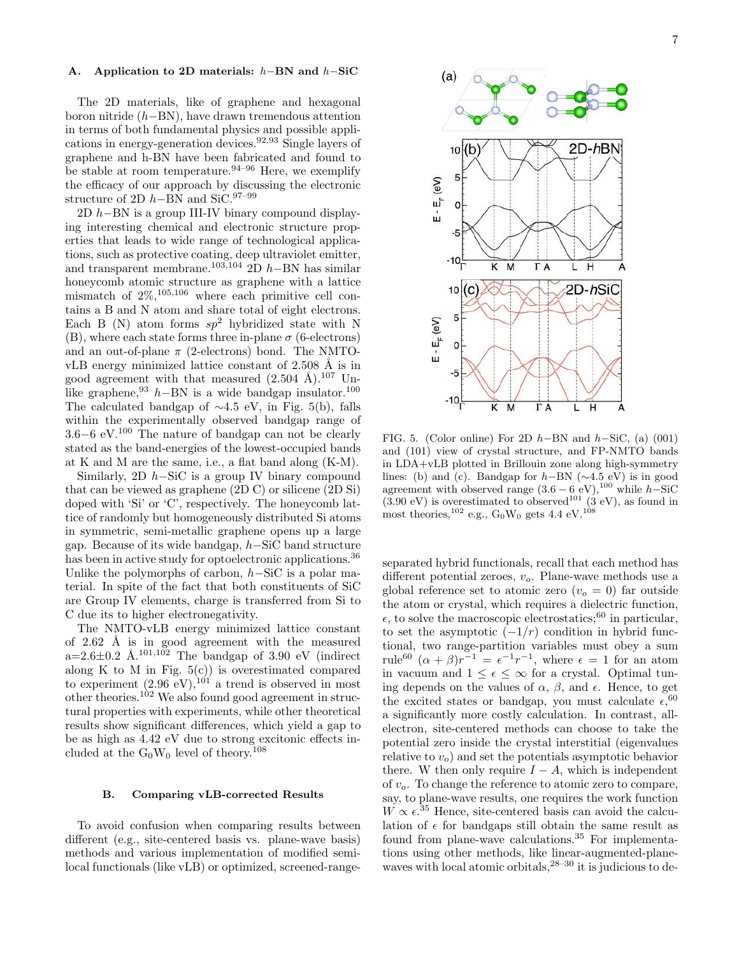# A. Application to 2D materials: h−BN and h−SiC

The 2D materials, like of graphene and hexagonal boron nitride (h−BN), have drawn tremendous attention in terms of both fundamental physics and possible applications in energy-generation devices.92,93 Single layers of graphene and h-BN have been fabricated and found to be stable at room temperature.  $94-96$  Here, we exemplify the efficacy of our approach by discussing the electronic structure of 2D  $h$ –BN and SiC.<sup>97–99</sup>

2D  $h$ –BN is a group III-IV binary compound displaying interesting chemical and electronic structure properties that leads to wide range of technological applications, such as protective coating, deep ultraviolet emitter, and transparent membrane.<sup>103,104</sup> 2D  $h$ −BN has similar honeycomb atomic structure as graphene with a lattice mismatch of  $2\%,^{105,106}$  where each primitive cell contains a B and N atom and share total of eight electrons. Each B (N) atom forms  $sp^2$  hybridized state with N (B), where each state forms three in-plane  $\sigma$  (6-electrons) and an out-of-plane  $\pi$  (2-electrons) bond. The NMTOvLB energy minimized lattice constant of  $2.508 \text{ Å}$  is in good agreement with that measured  $(2.504 \text{ Å})$ .<sup>107</sup> Unlike graphene,<sup>93</sup> h–BN is a wide bandgap insulator.<sup>100</sup> The calculated bandgap of ∼4.5 eV, in Fig. 5(b), falls within the experimentally observed bandgap range of 3.6−6 eV.<sup>100</sup> The nature of bandgap can not be clearly stated as the band-energies of the lowest-occupied bands at K and M are the same, i.e., a flat band along (K-M).

Similarly, 2D  $h$ –SiC is a group IV binary compound that can be viewed as graphene (2D C) or silicene (2D Si) doped with 'Si' or 'C', respectively. The honeycomb lattice of randomly but homogeneously distributed Si atoms in symmetric, semi-metallic graphene opens up a large gap. Because of its wide bandgap, h−SiC band structure has been in active study for optoelectronic applications.<sup>36</sup> Unlike the polymorphs of carbon,  $h-SiC$  is a polar material. In spite of the fact that both constituents of SiC are Group IV elements, charge is transferred from Si to C due its to higher electronegativity.

The NMTO-vLB energy minimized lattice constant of  $2.62 \text{ Å}$  is in good agreement with the measured a=2.6 $\pm$ 0.2 Å.<sup>101,102</sup> The bandgap of 3.90 eV (indirect along K to M in Fig.  $5(c)$  is overestimated compared to experiment  $(2.96 \text{ eV})$ ,<sup>101</sup> a trend is observed in most other theories.<sup>102</sup> We also found good agreement in structural properties with experiments, while other theoretical results show significant differences, which yield a gap to be as high as 4.42 eV due to strong excitonic effects included at the  $G_0W_0$  level of theory.<sup>108</sup>

# B. Comparing vLB-corrected Results

To avoid confusion when comparing results between different (e.g., site-centered basis vs. plane-wave basis) methods and various implementation of modified semilocal functionals (like vLB) or optimized, screened-range-



FIG. 5. (Color online) For 2D  $h$ –BN and  $h$ –SiC, (a) (001) and (101) view of crystal structure, and FP-NMTO bands in LDA+vLB plotted in Brillouin zone along high-symmetry lines: (b) and (c). Bandgap for  $h$ −BN ( $\sim$ 4.5 eV) is in good agreement with observed range  $(3.6 - 6 \text{ eV})$ ,<sup>100</sup> while h–SiC  $(3.90 \text{ eV})$  is overestimated to observed<sup>101</sup>  $(3 \text{ eV})$ , as found in most theories,  $^{102}$  e.g.,  $G_0W_0$  gets 4.4 eV.  $^{108}$ 

separated hybrid functionals, recall that each method has different potential zeroes,  $v<sub>o</sub>$ . Plane-wave methods use a global reference set to atomic zero  $(v<sub>o</sub> = 0)$  far outside the atom or crystal, which requires a dielectric function,  $\epsilon$ , to solve the macroscopic electrostatics;<sup>60</sup> in particular, to set the asymptotic  $(-1/r)$  condition in hybrid functional, two range-partition variables must obey a sum rule<sup>60</sup>  $(\alpha + \beta)r^{-1} = \epsilon^{-1}r^{-1}$ , where  $\epsilon = 1$  for an atom in vacuum and  $1 \leq \epsilon \leq \infty$  for a crystal. Optimal tuning depends on the values of  $\alpha$ ,  $\beta$ , and  $\epsilon$ . Hence, to get the excited states or bandgap, you must calculate  $\epsilon$ , 60 a significantly more costly calculation. In contrast, allelectron, site-centered methods can choose to take the potential zero inside the crystal interstitial (eigenvalues relative to  $v<sub>o</sub>$ ) and set the potentials asymptotic behavior there. W then only require  $I - A$ , which is independent of  $v<sub>o</sub>$ . To change the reference to atomic zero to compare, say, to plane-wave results, one requires the work function  $W \propto \epsilon^{35}$  Hence, site-centered basis can avoid the calculation of  $\epsilon$  for bandgaps still obtain the same result as found from plane-wave calculations.<sup>35</sup> For implementations using other methods, like linear-augmented-planewaves with local atomic orbitals, $28-30$  it is judicious to de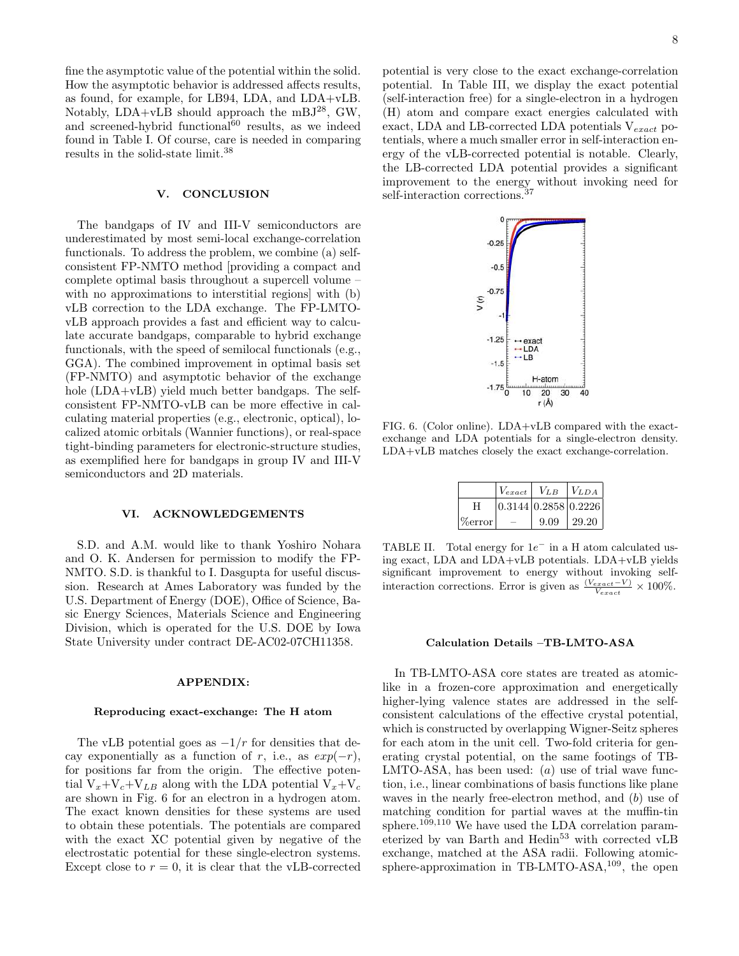fine the asymptotic value of the potential within the solid. How the asymptotic behavior is addressed affects results, as found, for example, for LB94, LDA, and LDA+vLB. Notably,  $LDA+vLB$  should approach the mBJ<sup>28</sup>, GW, and screened-hybrid functional $^{60}$  results, as we indeed found in Table I. Of course, care is needed in comparing results in the solid-state limit.<sup>38</sup>

# V. CONCLUSION

The bandgaps of IV and III-V semiconductors are underestimated by most semi-local exchange-correlation functionals. To address the problem, we combine (a) selfconsistent FP-NMTO method [providing a compact and complete optimal basis throughout a supercell volume – with no approximations to interstitial regions] with (b) vLB correction to the LDA exchange. The FP-LMTOvLB approach provides a fast and efficient way to calculate accurate bandgaps, comparable to hybrid exchange functionals, with the speed of semilocal functionals (e.g., GGA). The combined improvement in optimal basis set (FP-NMTO) and asymptotic behavior of the exchange hole (LDA+vLB) yield much better bandgaps. The selfconsistent FP-NMTO-vLB can be more effective in calculating material properties (e.g., electronic, optical), localized atomic orbitals (Wannier functions), or real-space tight-binding parameters for electronic-structure studies, as exemplified here for bandgaps in group IV and III-V semiconductors and 2D materials.

# VI. ACKNOWLEDGEMENTS

S.D. and A.M. would like to thank Yoshiro Nohara and O. K. Andersen for permission to modify the FP-NMTO. S.D. is thankful to I. Dasgupta for useful discussion. Research at Ames Laboratory was funded by the U.S. Department of Energy (DOE), Office of Science, Basic Energy Sciences, Materials Science and Engineering Division, which is operated for the U.S. DOE by Iowa State University under contract DE-AC02-07CH11358.

# APPENDIX:

#### Reproducing exact-exchange: The H atom

The vLB potential goes as  $-1/r$  for densities that decay exponentially as a function of r, i.e., as  $exp(-r)$ , for positions far from the origin. The effective potential  $V_x+V_c+V_{LB}$  along with the LDA potential  $V_x+V_c$ are shown in Fig. 6 for an electron in a hydrogen atom. The exact known densities for these systems are used to obtain these potentials. The potentials are compared with the exact XC potential given by negative of the electrostatic potential for these single-electron systems. Except close to  $r = 0$ , it is clear that the vLB-corrected

potential is very close to the exact exchange-correlation potential. In Table III, we display the exact potential (self-interaction free) for a single-electron in a hydrogen (H) atom and compare exact energies calculated with exact, LDA and LB-corrected LDA potentials  $V_{exact}$  potentials, where a much smaller error in self-interaction energy of the vLB-corrected potential is notable. Clearly, the LB-corrected LDA potential provides a significant improvement to the energy without invoking need for self-interaction corrections.<sup>37</sup>



FIG. 6. (Color online). LDA+vLB compared with the exactexchange and LDA potentials for a single-electron density. LDA+vLB matches closely the exact exchange-correlation.

|            | $V_{exact}$          | $V_{LB}$ | $ V_{LDA} $ |
|------------|----------------------|----------|-------------|
| Н          | 0.3144 0.2858 0.2226 |          |             |
| $\%$ error |                      | 9.09     | 129.20      |

TABLE II. Total energy for  $1e^-$  in a H atom calculated using exact, LDA and LDA+vLB potentials. LDA+vLB yields significant improvement to energy without invoking selfinteraction corrections. Error is given as  $\frac{(V_{exact} - V)}{V_{exact}} \times 100\%$ .

#### Calculation Details –TB-LMTO-ASA

In TB-LMTO-ASA core states are treated as atomiclike in a frozen-core approximation and energetically higher-lying valence states are addressed in the selfconsistent calculations of the effective crystal potential, which is constructed by overlapping Wigner-Seitz spheres for each atom in the unit cell. Two-fold criteria for generating crystal potential, on the same footings of TB-LMTO-ASA, has been used:  $(a)$  use of trial wave function, i.e., linear combinations of basis functions like plane waves in the nearly free-electron method, and  $(b)$  use of matching condition for partial waves at the muffin-tin sphere.<sup>109,110</sup> We have used the LDA correlation parameterized by van Barth and Hedin<sup>53</sup> with corrected vLB exchange, matched at the ASA radii. Following atomicsphere-approximation in TB-LMTO-ASA,<sup>109</sup>, the open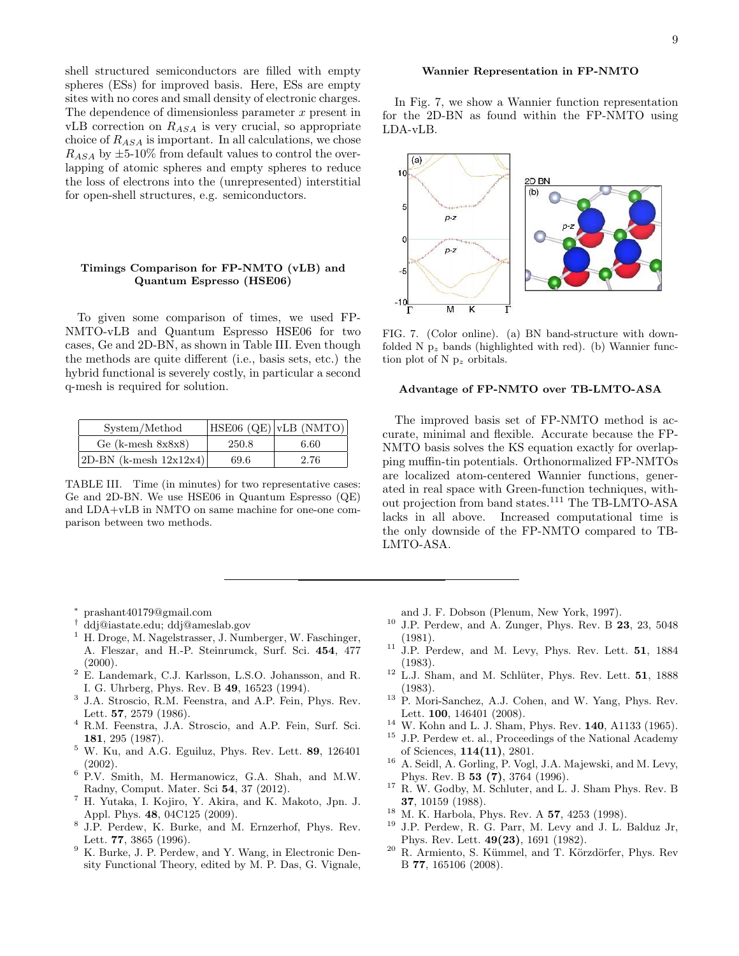shell structured semiconductors are filled with empty spheres (ESs) for improved basis. Here, ESs are empty sites with no cores and small density of electronic charges. The dependence of dimensionless parameter  $x$  present in vLB correction on  $R_{ASA}$  is very crucial, so appropriate choice of  $R_{ASA}$  is important. In all calculations, we chose  $R_{ASA}$  by  $\pm 5{\text -}10\%$  from default values to control the overlapping of atomic spheres and empty spheres to reduce the loss of electrons into the (unrepresented) interstitial for open-shell structures, e.g. semiconductors.

# Timings Comparison for FP-NMTO (vLB) and Quantum Espresso (HSE06)

To given some comparison of times, we used FP-NMTO-vLB and Quantum Espresso HSE06 for two cases, Ge and 2D-BN, as shown in Table III. Even though the methods are quite different (i.e., basis sets, etc.) the hybrid functional is severely costly, in particular a second q-mesh is required for solution.

| System/Method             |       | $HSE06 (QE)$ vLB (NMTO) |
|---------------------------|-------|-------------------------|
| Ge (k-mesh $8x8x8$ )      | 250.8 | 6.60                    |
| 2D-BN (k-mesh $12x12x4$ ) | 69.6  | 2.76                    |

TABLE III. Time (in minutes) for two representative cases: Ge and 2D-BN. We use HSE06 in Quantum Espresso (QE) and LDA+vLB in NMTO on same machine for one-one comparison between two methods.

9

## Wannier Representation in FP-NMTO

In Fig. 7, we show a Wannier function representation for the 2D-BN as found within the FP-NMTO using LDA-vLB.



FIG. 7. (Color online). (a) BN band-structure with downfolded N  $p_z$  bands (highlighted with red). (b) Wannier function plot of N  $p_z$  orbitals.

#### Advantage of FP-NMTO over TB-LMTO-ASA

The improved basis set of FP-NMTO method is accurate, minimal and flexible. Accurate because the FP-NMTO basis solves the KS equation exactly for overlapping muffin-tin potentials. Orthonormalized FP-NMTOs are localized atom-centered Wannier functions, generated in real space with Green-function techniques, without projection from band states.<sup>111</sup> The TB-LMTO-ASA lacks in all above. Increased computational time is the only downside of the FP-NMTO compared to TB-LMTO-ASA.

- <sup>∗</sup> prashant40179@gmail.com
- † ddj@iastate.edu; ddj@ameslab.gov
- <sup>1</sup> H. Droge, M. Nagelstrasser, J. Numberger, W. Faschinger, A. Fleszar, and H.-P. Steinrumck, Surf. Sci. 454, 477  $(2000).$
- <sup>2</sup> E. Landemark, C.J. Karlsson, L.S.O. Johansson, and R. I. G. Uhrberg, Phys. Rev. B 49, 16523 (1994).
- 3 J.A. Stroscio, R.M. Feenstra, and A.P. Fein, Phys. Rev. Lett. 57, 2579 (1986).
- <sup>4</sup> R.M. Feenstra, J.A. Stroscio, and A.P. Fein, Surf. Sci. 181, 295 (1987).
- <sup>5</sup> W. Ku, and A.G. Eguiluz, Phys. Rev. Lett. 89, 126401 (2002).
- <sup>6</sup> P.V. Smith, M. Hermanowicz, G.A. Shah, and M.W. Radny, Comput. Mater. Sci 54, 37 (2012).
- <sup>7</sup> H. Yutaka, I. Kojiro, Y. Akira, and K. Makoto, Jpn. J. Appl. Phys. 48, 04C125 (2009).
- 8 J.P. Perdew, K. Burke, and M. Ernzerhof, Phys. Rev. Lett. 77, 3865 (1996).
- <sup>9</sup> K. Burke, J. P. Perdew, and Y. Wang, in Electronic Density Functional Theory, edited by M. P. Das, G. Vignale,

and J. F. Dobson (Plenum, New York, 1997).

- <sup>10</sup> J.P. Perdew, and A. Zunger, Phys. Rev. B  $23$ , 23, 5048 (1981).
- $11$  J.P. Perdew, and M. Levy, Phys. Rev. Lett. 51, 1884 (1983).
- $12$  L.J. Sham, and M. Schlüter, Phys. Rev. Lett. **51**, 1888 (1983).
- <sup>13</sup> P. Mori-Sanchez, A.J. Cohen, and W. Yang, Phys. Rev. Lett. 100, 146401 (2008).
- $^{14}$  W. Kohn and L. J. Sham, Phys. Rev. 140, A1133 (1965).
- $^{15}\,$  J.P. Perdew et. al., Proceedings of the National Academy of Sciences, 114(11), 2801.
- <sup>16</sup> A. Seidl, A. Gorling, P. Vogl, J.A. Majewski, and M. Levy, Phys. Rev. B 53 (7), 3764 (1996).
- $^{17}$  R. W. Godby, M. Schluter, and L. J. Sham Phys. Rev. B 37, 10159 (1988).
- <sup>18</sup> M. K. Harbola, Phys. Rev. A 57, 4253 (1998).
- <sup>19</sup> J.P. Perdew, R. G. Parr, M. Levy and J. L. Balduz Jr, Phys. Rev. Lett. 49(23), 1691 (1982).
- <sup>20</sup> R. Armiento, S. Kümmel, and T. Körzdörfer, Phys. Rev B 77, 165106 (2008).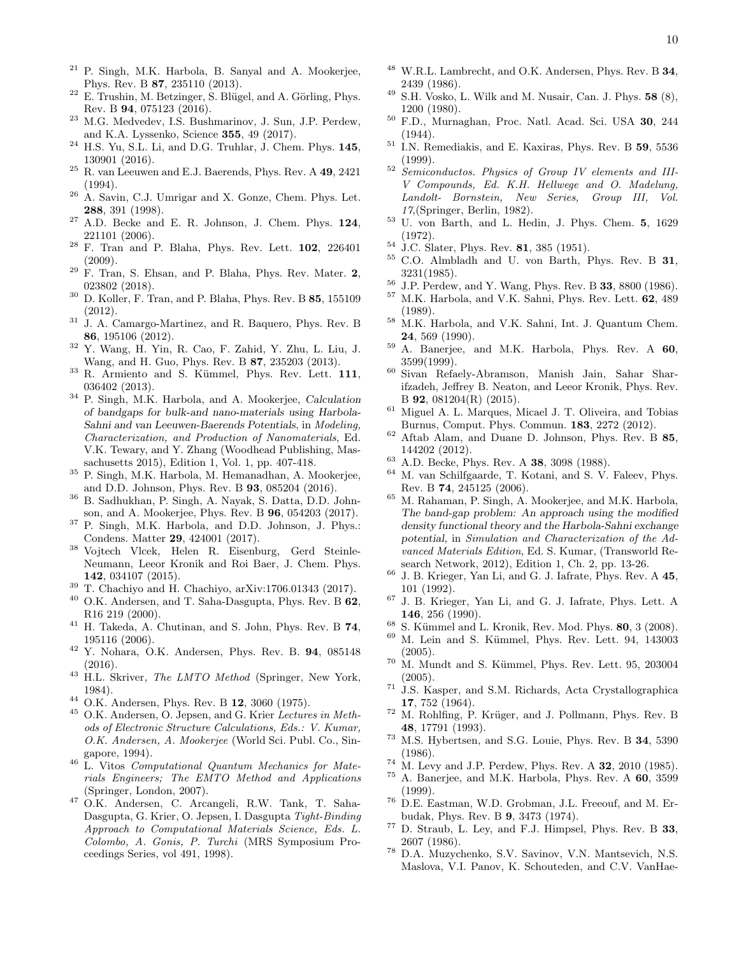- <sup>21</sup> P. Singh, M.K. Harbola, B. Sanyal and A. Mookerjee, Phys. Rev. B 87, 235110 (2013).
- $22$  E. Trushin, M. Betzinger, S. Blügel, and A. Görling, Phys. Rev. B 94, 075123 (2016).
- <sup>23</sup> M.G. Medvedev, I.S. Bushmarinov, J. Sun, J.P. Perdew, and K.A. Lyssenko, Science 355, 49 (2017).
- <sup>24</sup> H.S. Yu, S.L. Li, and D.G. Truhlar, J. Chem. Phys. 145, 130901 (2016).
- <sup>25</sup> R. van Leeuwen and E.J. Baerends, Phys. Rev. A 49, 2421 (1994).
- <sup>26</sup> A. Savin, C.J. Umrigar and X. Gonze, Chem. Phys. Let. 288, 391 (1998).
- <sup>27</sup> A.D. Becke and E. R. Johnson, J. Chem. Phys. 124, 221101 (2006).
- <sup>28</sup> F. Tran and P. Blaha, Phys. Rev. Lett. 102, 226401 (2009).
- $29$  F. Tran, S. Ehsan, and P. Blaha, Phys. Rev. Mater. 2, 023802 (2018).
- <sup>30</sup> D. Koller, F. Tran, and P. Blaha, Phys. Rev. B 85, 155109 (2012).
- <sup>31</sup> J. A. Camargo-Martinez, and R. Baquero, Phys. Rev. B 86, 195106 (2012).
- <sup>32</sup> Y. Wang, H. Yin, R. Cao, F. Zahid, Y. Zhu, L. Liu, J. Wang, and H. Guo, Phys. Rev. B 87, 235203 (2013).
- <sup>33</sup> R. Armiento and S. Kümmel, Phys. Rev. Lett. 111, 036402 (2013).
- <sup>34</sup> P. Singh, M.K. Harbola, and A. Mookerjee, Calculation of bandgaps for bulk-and nano-materials using Harbola-Sahni and van Leeuwen-Baerends Potentials, in *Modeling, Characterization, and Production of Nanomaterials*, Ed. V.K. Tewary, and Y. Zhang (Woodhead Publishing, Massachusetts 2015), Edition 1, Vol. 1, pp. 407-418.
- <sup>35</sup> P. Singh, M.K. Harbola, M. Hemanadhan, A. Mookerjee, and D.D. Johnson, Phys. Rev. B 93, 085204 (2016).
- <sup>36</sup> B. Sadhukhan, P. Singh, A. Nayak, S. Datta, D.D. Johnson, and A. Mookerjee, Phys. Rev. B 96, 054203 (2017).
- <sup>37</sup> P. Singh, M.K. Harbola, and D.D. Johnson, J. Phys.: Condens. Matter 29, 424001 (2017).
- <sup>38</sup> Vojtech Vlcek, Helen R. Eisenburg, Gerd Steinle-Neumann, Leeor Kronik and Roi Baer, J. Chem. Phys. 142, 034107 (2015).
- <sup>39</sup> T. Chachiyo and H. Chachiyo, arXiv:1706.01343 (2017).
- $^{40}$  O.K. Andersen, and T. Saha-Dasgupta, Phys. Rev. B  $\bf{62},$ R16 219 (2000).
- <sup>41</sup> H. Takeda, A. Chutinan, and S. John, Phys. Rev. B 74, 195116 (2006).
- <sup>42</sup> Y. Nohara, O.K. Andersen, Phys. Rev. B. 94, 085148 (2016).
- <sup>43</sup> H.L. Skriver, *The LMTO Method* (Springer, New York, 1984).
- <sup>44</sup> O.K. Andersen, Phys. Rev. B 12, 3060 (1975).
- <sup>45</sup> O.K. Andersen, O. Jepsen, and G. Krier *Lectures in Methods of Electronic Structure Calculations, Eds.: V. Kumar, O.K. Andersen, A. Mookerjee* (World Sci. Publ. Co., Singapore, 1994).
- <sup>46</sup> L. Vitos *Computational Quantum Mechanics for Materials Engineers; The EMTO Method and Applications* (Springer, London, 2007).
- <sup>47</sup> O.K. Andersen, C. Arcangeli, R.W. Tank, T. Saha-Dasgupta, G. Krier, O. Jepsen, I. Dasgupta *Tight-Binding Approach to Computational Materials Science, Eds. L. Colombo, A. Gonis, P. Turchi* (MRS Symposium Proceedings Series, vol 491, 1998).
- $48$  W.R.L. Lambrecht, and O.K. Andersen, Phys. Rev. B  $34$ , 2439 (1986).
- $49$  S.H. Vosko, L. Wilk and M. Nusair, Can. J. Phys. 58  $(8)$ , 1200 (1980).
- $50$  F.D., Murnaghan, Proc. Natl. Acad. Sci. USA 30, 244 (1944).
- $51$  I.N. Remediakis, and E. Kaxiras, Phys. Rev. B 59, 5536 (1999).
- <sup>52</sup> *Semiconductos. Physics of Group IV elements and III-V Compounds, Ed. K.H. Hellwege and O. Madelung, Landolt- Bornstein, New Series, Group III, Vol. 17*,(Springer, Berlin, 1982).
- <sup>53</sup> U. von Barth, and L. Hedin, J. Phys. Chem. 5, 1629 (1972).
- $54 \text{ J.C. Slater, Phys. Rev. }$  **81**, 385 (1951).
- <sup>55</sup> C.O. Almbladh and U. von Barth, Phys. Rev. B 31, 3231(1985).
- <sup>56</sup> J.P. Perdew, and Y. Wang, Phys. Rev. B 33, 8800 (1986).
- M.K. Harbola, and V.K. Sahni, Phys. Rev. Lett. 62, 489 (1989).
- <sup>58</sup> M.K. Harbola, and V.K. Sahni, Int. J. Quantum Chem. 24, 569 (1990).
- $59$  A. Banerjee, and M.K. Harbola, Phys. Rev. A  $60$ , 3599(1999).
- <sup>60</sup> Sivan Refaely-Abramson, Manish Jain, Sahar Sharifzadeh, Jeffrey B. Neaton, and Leeor Kronik, Phys. Rev. B 92, 081204(R) (2015).
- $\frac{61}{100}$  Miguel A. L. Marques, Micael J. T. Oliveira, and Tobias Burnus, Comput. Phys. Commun. 183, 2272 (2012).
- $62$  Aftab Alam, and Duane D. Johnson, Phys. Rev. B  $85$ , 144202 (2012).
- <sup>63</sup> A.D. Becke, Phys. Rev. A 38, 3098 (1988).
- <sup>64</sup> M. van Schilfgaarde, T. Kotani, and S. V. Faleev, Phys. Rev. B 74, 245125 (2006).
- <sup>65</sup> M. Rahaman, P. Singh, A. Mookerjee, and M.K. Harbola, The band-gap problem: An approach using the modified density functional theory and the Harbola-Sahni exchange potential, in *Simulation and Characterization of the Advanced Materials Edition*, Ed. S. Kumar, (Transworld Research Network, 2012), Edition 1, Ch. 2, pp. 13-26.
- <sup>66</sup> J. B. Krieger, Yan Li, and G. J. Iafrate, Phys. Rev. A 45, 101 (1992).
- <sup>67</sup> J. B. Krieger, Yan Li, and G. J. Iafrate, Phys. Lett. A 146, 256 (1990).
- <sup>68</sup> S. Kümmel and L. Kronik, Rev. Mod. Phys. **80**, 3 (2008).
- M. Lein and S. Kümmel, Phys. Rev. Lett. 94, 143003 (2005).
- $70$  M. Mundt and S. Kümmel, Phys. Rev. Lett. 95, 203004 (2005).
- <sup>71</sup> J.S. Kasper, and S.M. Richards, Acta Crystallographica 17, 752 (1964).
- $72$  M. Rohlfing, P. Krüger, and J. Pollmann, Phys. Rev. B 48, 17791 (1993).
- <sup>73</sup> M.S. Hybertsen, and S.G. Louie, Phys. Rev. B 34, 5390 (1986).
- $^{74}$  M. Levy and J.P. Perdew, Phys. Rev. A 32, 2010 (1985).<br> $^{75}$  A. Bonaries, and M.K. Harbels, Phys. Box. A 60, 2500
- A. Banerjee, and M.K. Harbola, Phys. Rev. A 60, 3599 (1999).
- <sup>76</sup> D.E. Eastman, W.D. Grobman, J.L. Freeouf, and M. Erbudak, Phys. Rev. B 9, 3473 (1974).
- <sup>77</sup> D. Straub, L. Ley, and F.J. Himpsel, Phys. Rev. B 33, 2607 (1986).
- <sup>78</sup> D.A. Muzychenko, S.V. Savinov, V.N. Mantsevich, N.S. Maslova, V.I. Panov, K. Schouteden, and C.V. VanHae-